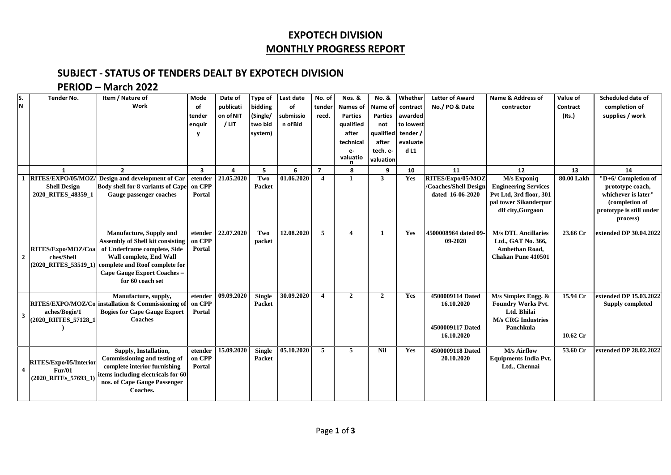## **EXPOTECH DIVISION MONTHLY PROGRESS REPORT**

#### **SUBJECT - STATUS OF TENDERS DEALT BY EXPOTECH DIVISION**

### **PERIOD – March 2022**

| Work<br>bidding<br>publicati<br>of<br>No./ PO & Date<br>completion of<br>of<br>tender<br><b>Names of</b><br>Name of<br>contractor<br>Contract<br>contract<br>on of NIT<br>submissio<br>supplies / work<br>(Single/<br>recd.<br><b>Parties</b><br><b>Parties</b><br>(Rs.)<br>tender<br>awarded<br>n of Bid<br>$/$ LIT<br>two bid<br>qualified<br>to lowest<br>enquir<br>not<br>qualified tender /<br>system)<br>after<br>technical<br>evaluate<br>after<br>dL1<br>tech. e-<br>$e-$<br>valuatio<br>valuation<br>5<br>6<br>10<br>13<br>$\overline{2}$<br>$\overline{\mathbf{3}}$<br>$\overline{\mathbf{z}}$<br>9<br>11<br>12<br>14<br>$\mathbf{1}$<br>8<br>4<br>RITES/EXPO/05/MOZ/<br>21.05.2020<br>01.06.2020<br>Design and development of Car<br>etender<br>Two<br>$\overline{\mathbf{4}}$<br>Yes<br>RITES/Expo/05/MOZ<br>80.00 Lakh<br>3<br>M/s Exponiq<br>$\mathbf{1}$<br>on CPP<br><b>Body shell for 8 variants of Cape</b><br>Packet<br>/Coaches/Shell Design<br><b>Engineering Services</b><br><b>Shell Design</b><br>prototype coach,<br>2020 RITES 48359 1<br>Gauge passenger coaches<br>dated 16-06-2020<br>Pvt Ltd, 3rd floor, 301<br>whichever is later"<br>Portal<br>pal tower Sikanderpur<br>(completion of<br>dlf city, Gurgaon<br>process)<br>22.07.2020<br>12.08.2020<br>5<br>4500008964 dated 09-<br><b>M/s DTL Ancillaries</b><br>extended DP 30.04.2022<br><b>Manufacture, Supply and</b><br>Two<br>23.66 Cr<br>etender<br>Yes<br>$\overline{\mathbf{4}}$<br>$\mathbf{1}$<br>on CPP<br><b>Assembly of Shell kit consisting</b><br>09-2020<br>Ltd., GAT No. 366,<br>packet<br>of Underframe complete, Side<br>RITES/Expo/MOZ/Coa<br>Ambethan Road,<br>Portal<br><b>Wall complete, End Wall</b><br><b>Chakan Pune 410501</b><br>$\overline{2}$<br>ches/Shell<br>(2020_RITES_53519_1) complete and Roof complete for<br>Cape Gauge Export Coaches-<br>for 60 coach set<br>30.09.2020<br>09.09.2020<br><b>Single</b><br>$\overline{\mathbf{4}}$<br>$\overline{2}$<br>$\overline{2}$<br>4500009114 Dated<br>15.94 Cr<br>Manufacture, supply,<br>Yes<br>$M/s$ Simplex Engg. $&$<br>etender<br>on CPP<br>RITES/EXPO/MOZ/Co installation & Commissioning of<br>16.10.2020<br><b>Foundry Works Pvt.</b><br>Packet<br>aches/Bogie/1<br><b>Bogies for Cape Gauge Export</b><br>Ltd. Bhilai<br>Portal<br>$\overline{\mathbf{3}}$<br><b>Coaches</b><br>(2020_RIITES_57128_1<br><b>M/s CRG Industries</b><br>4500009117 Dated<br>Panchkula<br>16.10.2020<br>10.62 Cr<br>15.09.2020<br>05.10.2020<br>$\overline{5}$<br><b>M/s Airflow</b><br><b>Single</b><br>5<br><b>Nil</b><br>4500009118 Dated<br>53.60 Cr<br>extended DP 28.02.2022<br>Supply, Installation,<br>etender<br>Yes<br>Commissioning and testing of<br>on CPP<br>Packet<br>20.10.2020<br><b>Equipments India Pvt.</b><br>RITES/Expo/05/Interior<br>complete interior furnishing<br>Portal<br>Ltd., Chennai<br>Fur/01<br>$\overline{4}$<br>items including electricals for 60<br>(2020_RITEs_57693_1)<br>nos. of Cape Gauge Passenger<br>Coaches. | S.<br>N | <b>Tender No.</b> | Item / Nature of | Mode | Date of | Type of | Last date | No. of | Nos. & | No. & | Whether | <b>Letter of Award</b> | Name & Address of | Value of | Scheduled date of        |
|-------------------------------------------------------------------------------------------------------------------------------------------------------------------------------------------------------------------------------------------------------------------------------------------------------------------------------------------------------------------------------------------------------------------------------------------------------------------------------------------------------------------------------------------------------------------------------------------------------------------------------------------------------------------------------------------------------------------------------------------------------------------------------------------------------------------------------------------------------------------------------------------------------------------------------------------------------------------------------------------------------------------------------------------------------------------------------------------------------------------------------------------------------------------------------------------------------------------------------------------------------------------------------------------------------------------------------------------------------------------------------------------------------------------------------------------------------------------------------------------------------------------------------------------------------------------------------------------------------------------------------------------------------------------------------------------------------------------------------------------------------------------------------------------------------------------------------------------------------------------------------------------------------------------------------------------------------------------------------------------------------------------------------------------------------------------------------------------------------------------------------------------------------------------------------------------------------------------------------------------------------------------------------------------------------------------------------------------------------------------------------------------------------------------------------------------------------------------------------------------------------------------------------------------------------------------------------------------------------------------------------------------------------------------------------------------------------------------------------------------------------------------------------------------------------------------------------------------------------------------------------------------------------------------------------------------------------------------------------------------------------------------|---------|-------------------|------------------|------|---------|---------|-----------|--------|--------|-------|---------|------------------------|-------------------|----------|--------------------------|
|                                                                                                                                                                                                                                                                                                                                                                                                                                                                                                                                                                                                                                                                                                                                                                                                                                                                                                                                                                                                                                                                                                                                                                                                                                                                                                                                                                                                                                                                                                                                                                                                                                                                                                                                                                                                                                                                                                                                                                                                                                                                                                                                                                                                                                                                                                                                                                                                                                                                                                                                                                                                                                                                                                                                                                                                                                                                                                                                                                                                                   |         |                   |                  |      |         |         |           |        |        |       |         |                        |                   |          |                          |
|                                                                                                                                                                                                                                                                                                                                                                                                                                                                                                                                                                                                                                                                                                                                                                                                                                                                                                                                                                                                                                                                                                                                                                                                                                                                                                                                                                                                                                                                                                                                                                                                                                                                                                                                                                                                                                                                                                                                                                                                                                                                                                                                                                                                                                                                                                                                                                                                                                                                                                                                                                                                                                                                                                                                                                                                                                                                                                                                                                                                                   |         |                   |                  |      |         |         |           |        |        |       |         |                        |                   |          |                          |
|                                                                                                                                                                                                                                                                                                                                                                                                                                                                                                                                                                                                                                                                                                                                                                                                                                                                                                                                                                                                                                                                                                                                                                                                                                                                                                                                                                                                                                                                                                                                                                                                                                                                                                                                                                                                                                                                                                                                                                                                                                                                                                                                                                                                                                                                                                                                                                                                                                                                                                                                                                                                                                                                                                                                                                                                                                                                                                                                                                                                                   |         |                   |                  |      |         |         |           |        |        |       |         |                        |                   |          |                          |
|                                                                                                                                                                                                                                                                                                                                                                                                                                                                                                                                                                                                                                                                                                                                                                                                                                                                                                                                                                                                                                                                                                                                                                                                                                                                                                                                                                                                                                                                                                                                                                                                                                                                                                                                                                                                                                                                                                                                                                                                                                                                                                                                                                                                                                                                                                                                                                                                                                                                                                                                                                                                                                                                                                                                                                                                                                                                                                                                                                                                                   |         |                   |                  |      |         |         |           |        |        |       |         |                        |                   |          |                          |
|                                                                                                                                                                                                                                                                                                                                                                                                                                                                                                                                                                                                                                                                                                                                                                                                                                                                                                                                                                                                                                                                                                                                                                                                                                                                                                                                                                                                                                                                                                                                                                                                                                                                                                                                                                                                                                                                                                                                                                                                                                                                                                                                                                                                                                                                                                                                                                                                                                                                                                                                                                                                                                                                                                                                                                                                                                                                                                                                                                                                                   |         |                   |                  |      |         |         |           |        |        |       |         |                        |                   |          |                          |
|                                                                                                                                                                                                                                                                                                                                                                                                                                                                                                                                                                                                                                                                                                                                                                                                                                                                                                                                                                                                                                                                                                                                                                                                                                                                                                                                                                                                                                                                                                                                                                                                                                                                                                                                                                                                                                                                                                                                                                                                                                                                                                                                                                                                                                                                                                                                                                                                                                                                                                                                                                                                                                                                                                                                                                                                                                                                                                                                                                                                                   |         |                   |                  |      |         |         |           |        |        |       |         |                        |                   |          |                          |
|                                                                                                                                                                                                                                                                                                                                                                                                                                                                                                                                                                                                                                                                                                                                                                                                                                                                                                                                                                                                                                                                                                                                                                                                                                                                                                                                                                                                                                                                                                                                                                                                                                                                                                                                                                                                                                                                                                                                                                                                                                                                                                                                                                                                                                                                                                                                                                                                                                                                                                                                                                                                                                                                                                                                                                                                                                                                                                                                                                                                                   |         |                   |                  |      |         |         |           |        |        |       |         |                        |                   |          |                          |
|                                                                                                                                                                                                                                                                                                                                                                                                                                                                                                                                                                                                                                                                                                                                                                                                                                                                                                                                                                                                                                                                                                                                                                                                                                                                                                                                                                                                                                                                                                                                                                                                                                                                                                                                                                                                                                                                                                                                                                                                                                                                                                                                                                                                                                                                                                                                                                                                                                                                                                                                                                                                                                                                                                                                                                                                                                                                                                                                                                                                                   |         |                   |                  |      |         |         |           |        |        |       |         |                        |                   |          |                          |
|                                                                                                                                                                                                                                                                                                                                                                                                                                                                                                                                                                                                                                                                                                                                                                                                                                                                                                                                                                                                                                                                                                                                                                                                                                                                                                                                                                                                                                                                                                                                                                                                                                                                                                                                                                                                                                                                                                                                                                                                                                                                                                                                                                                                                                                                                                                                                                                                                                                                                                                                                                                                                                                                                                                                                                                                                                                                                                                                                                                                                   |         |                   |                  |      |         |         |           |        |        |       |         |                        |                   |          | "D+6/ Completion of      |
|                                                                                                                                                                                                                                                                                                                                                                                                                                                                                                                                                                                                                                                                                                                                                                                                                                                                                                                                                                                                                                                                                                                                                                                                                                                                                                                                                                                                                                                                                                                                                                                                                                                                                                                                                                                                                                                                                                                                                                                                                                                                                                                                                                                                                                                                                                                                                                                                                                                                                                                                                                                                                                                                                                                                                                                                                                                                                                                                                                                                                   |         |                   |                  |      |         |         |           |        |        |       |         |                        |                   |          |                          |
|                                                                                                                                                                                                                                                                                                                                                                                                                                                                                                                                                                                                                                                                                                                                                                                                                                                                                                                                                                                                                                                                                                                                                                                                                                                                                                                                                                                                                                                                                                                                                                                                                                                                                                                                                                                                                                                                                                                                                                                                                                                                                                                                                                                                                                                                                                                                                                                                                                                                                                                                                                                                                                                                                                                                                                                                                                                                                                                                                                                                                   |         |                   |                  |      |         |         |           |        |        |       |         |                        |                   |          |                          |
|                                                                                                                                                                                                                                                                                                                                                                                                                                                                                                                                                                                                                                                                                                                                                                                                                                                                                                                                                                                                                                                                                                                                                                                                                                                                                                                                                                                                                                                                                                                                                                                                                                                                                                                                                                                                                                                                                                                                                                                                                                                                                                                                                                                                                                                                                                                                                                                                                                                                                                                                                                                                                                                                                                                                                                                                                                                                                                                                                                                                                   |         |                   |                  |      |         |         |           |        |        |       |         |                        |                   |          |                          |
|                                                                                                                                                                                                                                                                                                                                                                                                                                                                                                                                                                                                                                                                                                                                                                                                                                                                                                                                                                                                                                                                                                                                                                                                                                                                                                                                                                                                                                                                                                                                                                                                                                                                                                                                                                                                                                                                                                                                                                                                                                                                                                                                                                                                                                                                                                                                                                                                                                                                                                                                                                                                                                                                                                                                                                                                                                                                                                                                                                                                                   |         |                   |                  |      |         |         |           |        |        |       |         |                        |                   |          | prototype is still under |
|                                                                                                                                                                                                                                                                                                                                                                                                                                                                                                                                                                                                                                                                                                                                                                                                                                                                                                                                                                                                                                                                                                                                                                                                                                                                                                                                                                                                                                                                                                                                                                                                                                                                                                                                                                                                                                                                                                                                                                                                                                                                                                                                                                                                                                                                                                                                                                                                                                                                                                                                                                                                                                                                                                                                                                                                                                                                                                                                                                                                                   |         |                   |                  |      |         |         |           |        |        |       |         |                        |                   |          |                          |
|                                                                                                                                                                                                                                                                                                                                                                                                                                                                                                                                                                                                                                                                                                                                                                                                                                                                                                                                                                                                                                                                                                                                                                                                                                                                                                                                                                                                                                                                                                                                                                                                                                                                                                                                                                                                                                                                                                                                                                                                                                                                                                                                                                                                                                                                                                                                                                                                                                                                                                                                                                                                                                                                                                                                                                                                                                                                                                                                                                                                                   |         |                   |                  |      |         |         |           |        |        |       |         |                        |                   |          |                          |
|                                                                                                                                                                                                                                                                                                                                                                                                                                                                                                                                                                                                                                                                                                                                                                                                                                                                                                                                                                                                                                                                                                                                                                                                                                                                                                                                                                                                                                                                                                                                                                                                                                                                                                                                                                                                                                                                                                                                                                                                                                                                                                                                                                                                                                                                                                                                                                                                                                                                                                                                                                                                                                                                                                                                                                                                                                                                                                                                                                                                                   |         |                   |                  |      |         |         |           |        |        |       |         |                        |                   |          |                          |
|                                                                                                                                                                                                                                                                                                                                                                                                                                                                                                                                                                                                                                                                                                                                                                                                                                                                                                                                                                                                                                                                                                                                                                                                                                                                                                                                                                                                                                                                                                                                                                                                                                                                                                                                                                                                                                                                                                                                                                                                                                                                                                                                                                                                                                                                                                                                                                                                                                                                                                                                                                                                                                                                                                                                                                                                                                                                                                                                                                                                                   |         |                   |                  |      |         |         |           |        |        |       |         |                        |                   |          |                          |
|                                                                                                                                                                                                                                                                                                                                                                                                                                                                                                                                                                                                                                                                                                                                                                                                                                                                                                                                                                                                                                                                                                                                                                                                                                                                                                                                                                                                                                                                                                                                                                                                                                                                                                                                                                                                                                                                                                                                                                                                                                                                                                                                                                                                                                                                                                                                                                                                                                                                                                                                                                                                                                                                                                                                                                                                                                                                                                                                                                                                                   |         |                   |                  |      |         |         |           |        |        |       |         |                        |                   |          |                          |
|                                                                                                                                                                                                                                                                                                                                                                                                                                                                                                                                                                                                                                                                                                                                                                                                                                                                                                                                                                                                                                                                                                                                                                                                                                                                                                                                                                                                                                                                                                                                                                                                                                                                                                                                                                                                                                                                                                                                                                                                                                                                                                                                                                                                                                                                                                                                                                                                                                                                                                                                                                                                                                                                                                                                                                                                                                                                                                                                                                                                                   |         |                   |                  |      |         |         |           |        |        |       |         |                        |                   |          |                          |
|                                                                                                                                                                                                                                                                                                                                                                                                                                                                                                                                                                                                                                                                                                                                                                                                                                                                                                                                                                                                                                                                                                                                                                                                                                                                                                                                                                                                                                                                                                                                                                                                                                                                                                                                                                                                                                                                                                                                                                                                                                                                                                                                                                                                                                                                                                                                                                                                                                                                                                                                                                                                                                                                                                                                                                                                                                                                                                                                                                                                                   |         |                   |                  |      |         |         |           |        |        |       |         |                        |                   |          |                          |
|                                                                                                                                                                                                                                                                                                                                                                                                                                                                                                                                                                                                                                                                                                                                                                                                                                                                                                                                                                                                                                                                                                                                                                                                                                                                                                                                                                                                                                                                                                                                                                                                                                                                                                                                                                                                                                                                                                                                                                                                                                                                                                                                                                                                                                                                                                                                                                                                                                                                                                                                                                                                                                                                                                                                                                                                                                                                                                                                                                                                                   |         |                   |                  |      |         |         |           |        |        |       |         |                        |                   |          |                          |
|                                                                                                                                                                                                                                                                                                                                                                                                                                                                                                                                                                                                                                                                                                                                                                                                                                                                                                                                                                                                                                                                                                                                                                                                                                                                                                                                                                                                                                                                                                                                                                                                                                                                                                                                                                                                                                                                                                                                                                                                                                                                                                                                                                                                                                                                                                                                                                                                                                                                                                                                                                                                                                                                                                                                                                                                                                                                                                                                                                                                                   |         |                   |                  |      |         |         |           |        |        |       |         |                        |                   |          |                          |
|                                                                                                                                                                                                                                                                                                                                                                                                                                                                                                                                                                                                                                                                                                                                                                                                                                                                                                                                                                                                                                                                                                                                                                                                                                                                                                                                                                                                                                                                                                                                                                                                                                                                                                                                                                                                                                                                                                                                                                                                                                                                                                                                                                                                                                                                                                                                                                                                                                                                                                                                                                                                                                                                                                                                                                                                                                                                                                                                                                                                                   |         |                   |                  |      |         |         |           |        |        |       |         |                        |                   |          | extended DP 15.03.2022   |
|                                                                                                                                                                                                                                                                                                                                                                                                                                                                                                                                                                                                                                                                                                                                                                                                                                                                                                                                                                                                                                                                                                                                                                                                                                                                                                                                                                                                                                                                                                                                                                                                                                                                                                                                                                                                                                                                                                                                                                                                                                                                                                                                                                                                                                                                                                                                                                                                                                                                                                                                                                                                                                                                                                                                                                                                                                                                                                                                                                                                                   |         |                   |                  |      |         |         |           |        |        |       |         |                        |                   |          | <b>Supply completed</b>  |
|                                                                                                                                                                                                                                                                                                                                                                                                                                                                                                                                                                                                                                                                                                                                                                                                                                                                                                                                                                                                                                                                                                                                                                                                                                                                                                                                                                                                                                                                                                                                                                                                                                                                                                                                                                                                                                                                                                                                                                                                                                                                                                                                                                                                                                                                                                                                                                                                                                                                                                                                                                                                                                                                                                                                                                                                                                                                                                                                                                                                                   |         |                   |                  |      |         |         |           |        |        |       |         |                        |                   |          |                          |
|                                                                                                                                                                                                                                                                                                                                                                                                                                                                                                                                                                                                                                                                                                                                                                                                                                                                                                                                                                                                                                                                                                                                                                                                                                                                                                                                                                                                                                                                                                                                                                                                                                                                                                                                                                                                                                                                                                                                                                                                                                                                                                                                                                                                                                                                                                                                                                                                                                                                                                                                                                                                                                                                                                                                                                                                                                                                                                                                                                                                                   |         |                   |                  |      |         |         |           |        |        |       |         |                        |                   |          |                          |
|                                                                                                                                                                                                                                                                                                                                                                                                                                                                                                                                                                                                                                                                                                                                                                                                                                                                                                                                                                                                                                                                                                                                                                                                                                                                                                                                                                                                                                                                                                                                                                                                                                                                                                                                                                                                                                                                                                                                                                                                                                                                                                                                                                                                                                                                                                                                                                                                                                                                                                                                                                                                                                                                                                                                                                                                                                                                                                                                                                                                                   |         |                   |                  |      |         |         |           |        |        |       |         |                        |                   |          |                          |
|                                                                                                                                                                                                                                                                                                                                                                                                                                                                                                                                                                                                                                                                                                                                                                                                                                                                                                                                                                                                                                                                                                                                                                                                                                                                                                                                                                                                                                                                                                                                                                                                                                                                                                                                                                                                                                                                                                                                                                                                                                                                                                                                                                                                                                                                                                                                                                                                                                                                                                                                                                                                                                                                                                                                                                                                                                                                                                                                                                                                                   |         |                   |                  |      |         |         |           |        |        |       |         |                        |                   |          |                          |
|                                                                                                                                                                                                                                                                                                                                                                                                                                                                                                                                                                                                                                                                                                                                                                                                                                                                                                                                                                                                                                                                                                                                                                                                                                                                                                                                                                                                                                                                                                                                                                                                                                                                                                                                                                                                                                                                                                                                                                                                                                                                                                                                                                                                                                                                                                                                                                                                                                                                                                                                                                                                                                                                                                                                                                                                                                                                                                                                                                                                                   |         |                   |                  |      |         |         |           |        |        |       |         |                        |                   |          |                          |
|                                                                                                                                                                                                                                                                                                                                                                                                                                                                                                                                                                                                                                                                                                                                                                                                                                                                                                                                                                                                                                                                                                                                                                                                                                                                                                                                                                                                                                                                                                                                                                                                                                                                                                                                                                                                                                                                                                                                                                                                                                                                                                                                                                                                                                                                                                                                                                                                                                                                                                                                                                                                                                                                                                                                                                                                                                                                                                                                                                                                                   |         |                   |                  |      |         |         |           |        |        |       |         |                        |                   |          |                          |
|                                                                                                                                                                                                                                                                                                                                                                                                                                                                                                                                                                                                                                                                                                                                                                                                                                                                                                                                                                                                                                                                                                                                                                                                                                                                                                                                                                                                                                                                                                                                                                                                                                                                                                                                                                                                                                                                                                                                                                                                                                                                                                                                                                                                                                                                                                                                                                                                                                                                                                                                                                                                                                                                                                                                                                                                                                                                                                                                                                                                                   |         |                   |                  |      |         |         |           |        |        |       |         |                        |                   |          |                          |
|                                                                                                                                                                                                                                                                                                                                                                                                                                                                                                                                                                                                                                                                                                                                                                                                                                                                                                                                                                                                                                                                                                                                                                                                                                                                                                                                                                                                                                                                                                                                                                                                                                                                                                                                                                                                                                                                                                                                                                                                                                                                                                                                                                                                                                                                                                                                                                                                                                                                                                                                                                                                                                                                                                                                                                                                                                                                                                                                                                                                                   |         |                   |                  |      |         |         |           |        |        |       |         |                        |                   |          |                          |
|                                                                                                                                                                                                                                                                                                                                                                                                                                                                                                                                                                                                                                                                                                                                                                                                                                                                                                                                                                                                                                                                                                                                                                                                                                                                                                                                                                                                                                                                                                                                                                                                                                                                                                                                                                                                                                                                                                                                                                                                                                                                                                                                                                                                                                                                                                                                                                                                                                                                                                                                                                                                                                                                                                                                                                                                                                                                                                                                                                                                                   |         |                   |                  |      |         |         |           |        |        |       |         |                        |                   |          |                          |
|                                                                                                                                                                                                                                                                                                                                                                                                                                                                                                                                                                                                                                                                                                                                                                                                                                                                                                                                                                                                                                                                                                                                                                                                                                                                                                                                                                                                                                                                                                                                                                                                                                                                                                                                                                                                                                                                                                                                                                                                                                                                                                                                                                                                                                                                                                                                                                                                                                                                                                                                                                                                                                                                                                                                                                                                                                                                                                                                                                                                                   |         |                   |                  |      |         |         |           |        |        |       |         |                        |                   |          |                          |
|                                                                                                                                                                                                                                                                                                                                                                                                                                                                                                                                                                                                                                                                                                                                                                                                                                                                                                                                                                                                                                                                                                                                                                                                                                                                                                                                                                                                                                                                                                                                                                                                                                                                                                                                                                                                                                                                                                                                                                                                                                                                                                                                                                                                                                                                                                                                                                                                                                                                                                                                                                                                                                                                                                                                                                                                                                                                                                                                                                                                                   |         |                   |                  |      |         |         |           |        |        |       |         |                        |                   |          |                          |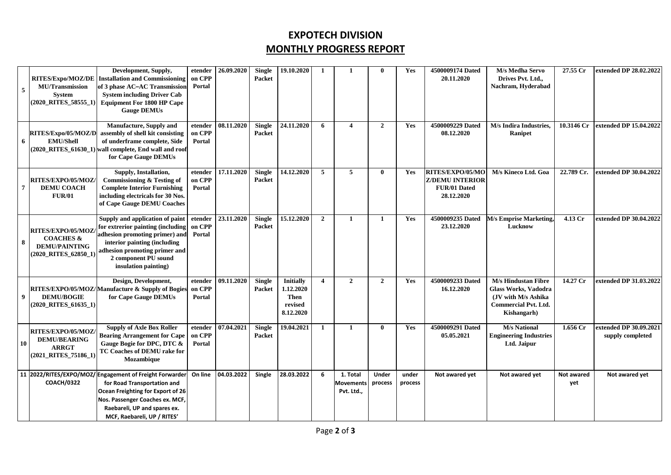# **EXPOTECH DIVISION MONTHLY PROGRESS REPORT**

| 5 | <b>MU/Transmission</b><br><b>System</b><br>$(2020$ RITES 58555 1)                                             | Development, Supply,<br>RITES/Expo/MOZ/DE   Installation and Commissioning<br>of 3 phase AC-AC Transmission<br><b>System including Driver Cab</b><br><b>Equipment For 1800 HP Cape</b><br><b>Gauge DEMUs</b>                  | etender<br>on CPP<br>Portal | 26.09.2020                | <b>Single</b><br><b>Packet</b> | 19.10.2020                                                    | $\mathbf{1}$   | $\mathbf{1}$                               | $\mathbf{0}$            | Yes              | 4500009174 Dated<br>20.11.2020                                           | M/s Medha Servo<br>Drives Pvt. Ltd.,<br>Nachram, Hyderabad                                                                      | 27.55 Cr          | extended DP 28.02.2022                     |
|---|---------------------------------------------------------------------------------------------------------------|-------------------------------------------------------------------------------------------------------------------------------------------------------------------------------------------------------------------------------|-----------------------------|---------------------------|--------------------------------|---------------------------------------------------------------|----------------|--------------------------------------------|-------------------------|------------------|--------------------------------------------------------------------------|---------------------------------------------------------------------------------------------------------------------------------|-------------------|--------------------------------------------|
| 6 | RITES/Expo/05/MOZ/D<br><b>EMU/Shell</b>                                                                       | Manufacture, Supply and<br>assembly of shell kit consisting<br>of underframe complete, Side<br>$(2020 \t RITES 61630 1)$ wall complete, End wall and roof<br>for Cape Gauge DEMUs                                             | etender<br>on CPP<br>Portal | $\overline{08.11}$ , 2020 | <b>Single</b><br><b>Packet</b> | 24.11.2020                                                    | 6              | $\overline{\mathbf{4}}$                    | $\overline{2}$          | Yes              | 4500009229 Dated<br>08.12.2020                                           | M/s Indira Industries,<br>Ranipet                                                                                               | 10.3146 Cr        | extended DP 15.04.2022                     |
| 7 | RITES/EXPO/05/MOZ/<br><b>DEMU COACH</b><br><b>FUR/01</b>                                                      | Supply, Installation,<br>Commissioning & Testing of<br><b>Complete Interior Furnishing</b><br>including electricals for 30 Nos.<br>of Cape Gauge DEMU Coaches                                                                 | etender<br>on CPP<br>Portal | 17.11.2020                | <b>Single</b><br>Packet        | 14.12.2020                                                    | 5              | 5                                          | $\bf{0}$                | Yes              | RITES/EXPO/05/MC<br><b>Z/DEMU INTERIOR</b><br>FUR/01 Dated<br>28.12.2020 | M/s Kineco Ltd. Goa                                                                                                             | 22.789 Cr.        | extended DP 30.04.2022                     |
| 8 | RITES/EXPO/05/MOZ/<br><b>COACHES &amp;</b><br><b>DEMU/PAINTING</b><br>$(2020 \text{ RITIES} 62850 \text{ A})$ | Supply and application of paint<br>for extrerior painting (including<br>adhesion promoting primer) and<br>interior painting (including<br>adhesion promoting primer and<br>2 component PU sound<br>insulation painting)       | etender<br>on CPP<br>Portal | 23.11.2020                | <b>Single</b><br><b>Packet</b> | 15.12.2020                                                    | $\overline{2}$ | 1                                          | -1                      | Yes              | 4500009235 Dated<br>23.12.2020                                           | <b>M/s Emprise Marketing</b><br>Lucknow                                                                                         | 4.13 Cr           | extended DP 30.04.2022                     |
| 9 | <b>DEMU/BOGIE</b><br>$(2020$ RITES 61635 1)                                                                   | Design, Development,<br>RITES/EXPO/05/MOZ/Manufacture & Supply of Bogies<br>for Cape Gauge DEMUs                                                                                                                              | etender<br>on CPP<br>Portal | 09.11.2020                | <b>Single</b><br>Packet        | <b>Initially</b><br>1.12.2020<br>Then<br>revised<br>8.12.2020 | $\overline{4}$ | $\overline{2}$                             | $\overline{2}$          | Yes              | 4500009233 Dated<br>16.12.2020                                           | <b>M/s Hindustan Fibre</b><br><b>Glass Works, Vadodra</b><br>(JV with M/s Ashika)<br><b>Commercial Pvt. Ltd.</b><br>Kishangarh) | 14.27 Cr          | extended DP 31.03.2022                     |
|   | RITES/EXPO/05/MOZ/<br><b>DEMU/BEARING</b><br><b>ARRGT</b><br>(2021_RITES_75186_1)                             | <b>Supply of Axle Box Roller</b><br><b>Bearing Arrangement for Cape</b><br>Gauge Bogie for DPC, DTC &<br>TC Coaches of DEMU rake for<br>Mozambique                                                                            | etender<br>on CPP<br>Portal | 07.04.2021                | <b>Single</b><br>Packet        | 19.04.2021                                                    | 1              | $\mathbf{1}$                               | $\mathbf{0}$            | Yes              | 4500009291 Dated<br>05.05.2021                                           | <b>M/s National</b><br><b>Engineering Industries</b><br>Ltd. Jaipur                                                             | 1.656 Cr          | extended DP 30.09.2021<br>supply completed |
|   | <b>COACH/0322</b>                                                                                             | 11 2022/RITES/EXPO/MOZ/ Engagement of Freight Forwarder<br>for Road Transportation and<br>Ocean Freighting for Export of 26<br>Nos. Passenger Coaches ex. MCF,<br>Raebareli, UP and spares ex.<br>MCF, Raebareli, UP / RITES' | On line                     | 04.03.2022                | Single                         | 28.03.2022                                                    | 6              | 1. Total<br><b>Movements</b><br>Pvt. Ltd., | <b>Under</b><br>process | under<br>process | Not awared yet                                                           | Not awared yet                                                                                                                  | Not awared<br>yet | Not awared yet                             |